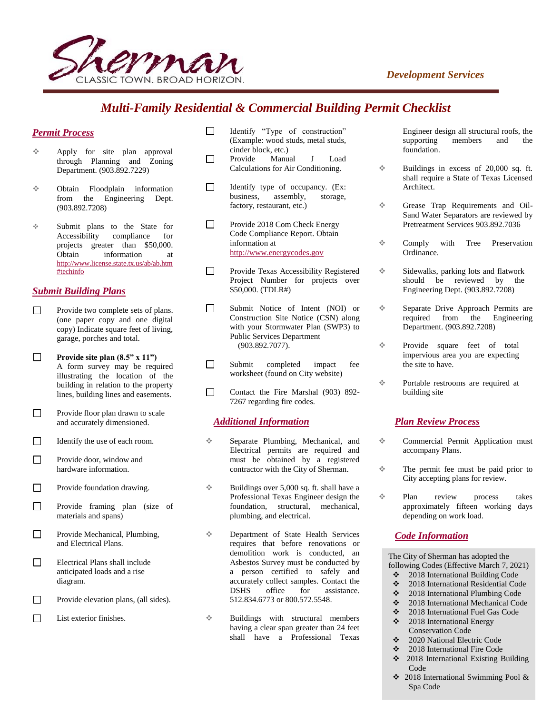

## *Development Services*

# *Multi-Family Residential & Commercial Building Permit Checklist*

#### *Permit Process*

- Apply for site plan approval through Planning and Zoning Department. (903.892.7229)
- Obtain Floodplain information from the Engineering Dept. (903.892.7208)
- Submit plans to the State for Accessibility compliance for projects greater than \$50,000. Obtain information at [http://www.license.state.tx.us/ab/ab.htm](http://www.license.state.tx.us/ab/ab.htm#techinfo) [#techinfo](http://www.license.state.tx.us/ab/ab.htm#techinfo)

#### *Submit Building Plans*

- Provide two complete sets of plans.  $\Box$ (one paper copy and one digital copy) Indicate square feet of living, garage, porches and total.
- **Provide site plan (8.5" x 11")** A form survey may be required illustrating the location of the building in relation to the property lines, building lines and easements.
- $\Box$ Provide floor plan drawn to scale and accurately dimensioned.
- $\Box$ Identify the use of each room.
- $\Box$ Provide door, window and hardware information.
- $\Box$ Provide foundation drawing.
- $\Box$ Provide framing plan (size of materials and spans)
- $\Box$ Provide Mechanical, Plumbing, and Electrical Plans.
- $\Box$ Electrical Plans shall include anticipated loads and a rise diagram.
- $\Box$ Provide elevation plans, (all sides).
- $\Box$ List exterior finishes.
- $\Box$ Identify "Type of construction" (Example: wood studs, metal studs, cinder block, etc.)
- П Provide Manual J Load Calculations for Air Conditioning.
- $\Box$ Identify type of occupancy. (Ex: business, assembly, storage, factory, restaurant, etc.)
- $\Box$ Provide 2018 Com Check Energy Code Compliance Report. Obtain information at http://www.energycodes.gov
- $\Box$ Provide Texas Accessibility Registered Project Number for projects over \$50,000. (TDLR#)
- $\Box$ Submit Notice of Intent (NOI) or Construction Site Notice (CSN) along with your Stormwater Plan (SWP3) to Public Services Department (903.892.7077).
- П Submit completed impact fee worksheet (found on City website)
- П Contact the Fire Marshal (903) 892- 7267 regarding fire codes.

#### *Additional Information*

- Separate Plumbing, Mechanical, and Electrical permits are required and must be obtained by a registered contractor with the City of Sherman.
- $\div$  Buildings over 5,000 sq. ft. shall have a Professional Texas Engineer design the foundation, structural, mechanical, plumbing, and electrical.
- **Department of State Health Services** requires that before renovations or demolition work is conducted, an Asbestos Survey must be conducted by a person certified to safely and accurately collect samples. Contact the DSHS office for assistance. 512.834.6773 or 800.572.5548.
- $\Diamond$  Buildings with structural members having a clear span greater than 24 feet shall have a Professional Texas

Engineer design all structural roofs, the supporting members and the foundation.

- Buildings in excess of 20,000 sq. ft. shall require a State of Texas Licensed Architect.
- Grease Trap Requirements and Oil-Sand Water Separators are reviewed by Pretreatment Services 903.892.7036
- $\div$  Comply with Tree Preservation Ordinance.
- $\Diamond$  Sidewalks, parking lots and flatwork should be reviewed by the Engineering Dept. (903.892.7208)
- Separate Drive Approach Permits are required from the Engineering Department. (903.892.7208)
- Provide square feet of total impervious area you are expecting the site to have.
- Portable restrooms are required at building site

## *Plan Review Process*

- Commercial Permit Application must accompany Plans.
- $\Diamond$  The permit fee must be paid prior to City accepting plans for review.
- Plan review process takes approximately fifteen working days depending on work load.

## *Code Information*

The City of Sherman has adopted the following Codes (Effective March 7, 2021)<br>  $\bullet$  2018 International Building Code

- 2018 International Building Code
- 2018 International Residential Code
- $\div$  2018 International Plumbing Code<br>  $\div$  2018 International Mechanical Cod 2018 International Mechanical Code
- 2018 International Fuel Gas Code
- 2018 International Energy Conservation Code
- $\div$  2020 National Electric Code
- 2018 International Fire Code
- 2018 International Existing Building Code
- ◆ 2018 International Swimming Pool & Spa Code